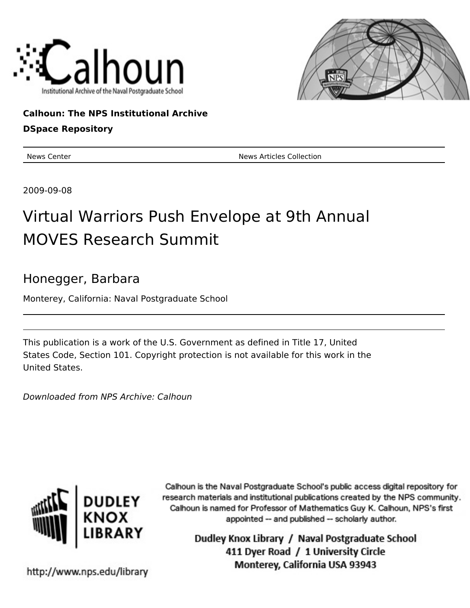



### **Calhoun: The NPS Institutional Archive**

### **DSpace Repository**

News Center News Articles Collection

2009-09-08

# Virtual Warriors Push Envelope at 9th Annual MOVES Research Summit

## Honegger, Barbara

Monterey, California: Naval Postgraduate School

This publication is a work of the U.S. Government as defined in Title 17, United States Code, Section 101. Copyright protection is not available for this work in the United States.

Downloaded from NPS Archive: Calhoun



Calhoun is the Naval Postgraduate School's public access digital repository for research materials and institutional publications created by the NPS community. Calhoun is named for Professor of Mathematics Guy K. Calhoun, NPS's first appointed -- and published -- scholarly author.

> Dudley Knox Library / Naval Postgraduate School 411 Dyer Road / 1 University Circle Monterey, California USA 93943

http://www.nps.edu/library